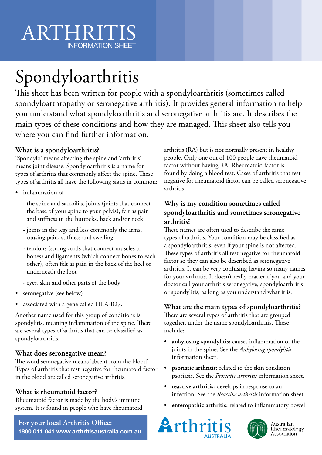# Spondyloarthritis

This sheet has been written for people with a spondyloarthritis (sometimes called spondyloarthropathy or seronegative arthritis). It provides general information to help you understand what spondyloarthritis and seronegative arthritis are. It describes the main types of these conditions and how they are managed. This sheet also tells you where you can find further information.

# **What is a spondyloarthritis?**

'Spondylo' means affecting the spine and 'arthritis' means joint disease. Spondyloarthritis is a name for types of arthritis that commonly affect the spine. These types of arthritis all have the following signs in common:

- inflammation of
	- the spine and sacroiliac joints (joints that connect the base of your spine to your pelvis), felt as pain and stiffness in the buttocks, back and/or neck
	- joints in the legs and less commonly the arms, causing pain, stiffness and swelling
	- tendons (strong cords that connect muscles to bones) and ligaments (which connect bones to each other), often felt as pain in the back of the heel or underneath the foot
	- eyes, skin and other parts of the body
- seronegative (see below)
- associated with a gene called HLA-B27.

Another name used for this group of conditions is spondylitis, meaning inflammation of the spine. There are several types of arthritis that can be classified as spondyloarthritis.

# **What does seronegative mean?**

The word seronegative means 'absent from the blood'. Types of arthritis that test negative for rheumatoid factor in the blood are called seronegative arthritis.

# **What is rheumatoid factor?**

Rheumatoid factor is made by the body's immune system. It is found in people who have rheumatoid

**For your local Arthritis Office: 1800 011 041 www.arthritisaustralia.com.au** arthritis (RA) but is not normally present in healthy people. Only one out of 100 people have rheumatoid factor without having RA. Rheumatoid factor is found by doing a blood test. Cases of arthritis that test negative for rheumatoid factor can be called seronegative arthritis.

## **Why is my condition sometimes called spondyloarthritis and sometimes seronegative arthritis?**

These names are often used to describe the same types of arthritis. Your condition may be classified as a spondyloarthritis, even if your spine is not affected. These types of arthritis all test negative for rheumatoid factor so they can also be described as seronegative arthritis. It can be very confusing having so many names for your arthritis. It doesn't really matter if you and your doctor call your arthritis seronegative, spondyloarthritis or spondylitis, as long as you understand what it is.

# **What are the main types of spondyloarthritis?**

There are several types of arthritis that are grouped together, under the name spondyloarthritis. These include:

- **ankylosing spondylitis:** causes inflammation of the joints in the spine. See the *Ankylosing spondylitis* information sheet.
- **psoriatic arthritis:** related to the skin condition psoriasis. See the *Psoriatic arthritis* information sheet.
- **reactive arthritis:** develops in response to an infection. See the *Reactive arthritis* information sheet.
- **enteropathic arthritis:** related to inflammatory bowel





Australian Rheumatology Association